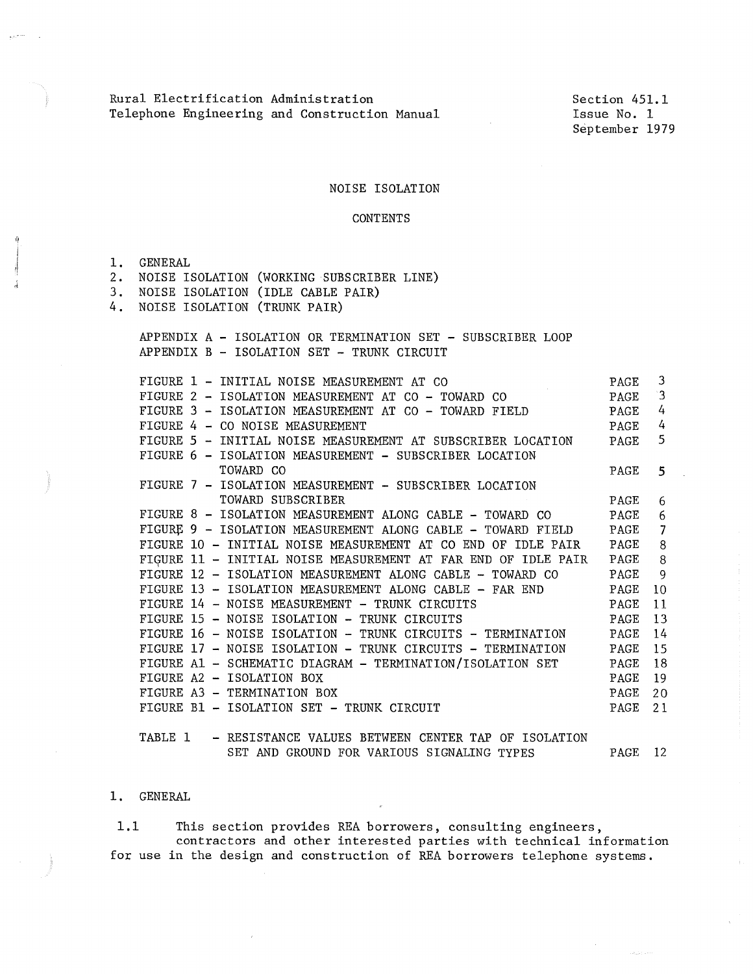Rural Electrification Administration Telephone Engineering and Construction Manual Section 451.1 Issue No. 1 September 1979

### NOISE ISOLATION

#### CONTENTS

| 1. | <b>GENERAL</b>                                                                                   |                 |                |
|----|--------------------------------------------------------------------------------------------------|-----------------|----------------|
| 2. | NOISE ISOLATION (WORKING SUBSCRIBER LINE)                                                        |                 |                |
| 3. | NOISE ISOLATION (IDLE CABLE PAIR)                                                                |                 |                |
| 4. | NOISE ISOLATION (TRUNK PAIR)                                                                     |                 |                |
|    | APPENDIX A - ISOLATION OR TERMINATION SET - SUBSCRIBER LOOP                                      |                 |                |
|    | APPENDIX B - ISOLATION SET - TRUNK CIRCUIT                                                       |                 |                |
|    | FIGURE 1 - INITIAL NOISE MEASUREMENT AT CO                                                       | PAGE            | 3              |
|    | FIGURE 1 - INITIAL NOISE MEASUREMENT AT CO<br>FIGURE 2 - ISOLATION MEASUREMENT AT CO - TOWARD CO | PAGE            | $\mathbf{3}$   |
|    | FIGURE 3 - ISOLATION MEASUREMENT AT CO - TOWARD FIELD                                            | $\mathbf{PAGE}$ | 4              |
|    | FIGURE 4 - CO NOISE MEASUREMENT                                                                  | PAGE            | $\frac{1}{4}$  |
|    | FIGURE 5 - INITIAL NOISE MEASUREMENT AT SUBSCRIBER LOCATION PAGE                                 |                 | 5              |
|    | FIGURE 6 - ISOLATION MEASUREMENT - SUBSCRIBER LOCATION                                           |                 |                |
|    | TOWARD CO                                                                                        | PAGE            | 5              |
|    | FIGURE 7 - ISOLATION MEASUREMENT - SUBSCRIBER LOCATION                                           |                 |                |
|    | TOWARD SUBSCRIBER                                                                                | $\mathbf{PAGE}$ | 6              |
|    | FIGURE 8 - ISOLATION MEASUREMENT ALONG CABLE - TOWARD CO PAGE                                    |                 | $6\,$          |
|    | FIGURE 9 - ISOLATION MEASUREMENT ALONG CABLE - TOWARD FIELD PAGE                                 |                 | $\overline{7}$ |
|    | FIGURE 10 - INITIAL NOISE MEASUREMENT AT CO END OF IDLE PAIR PAGE                                |                 | 8              |
|    | FIGURE 11 - INITIAL NOISE MEASUREMENT AT FAR END OF IDLE PAIR PAGE                               |                 | 8              |
|    | FIGURE 12 - ISOLATION MEASUREMENT ALONG CABLE - TOWARD CO PAGE                                   |                 | $\overline{9}$ |
|    | FIGURE 13 - ISOLATION MEASUREMENT ALONG CABLE - FAR END PAGE                                     |                 | 10             |
|    | FIGURE 14 - NOISE MEASUREMENT - TRUNK CIRCUITS                                                   | PAGE            | 11             |
|    | FIGURE 15 - NOISE ISOLATION - TRUNK CIRCUITS                                                     | $\rm PAGE$      | 13             |
|    | FIGURE 16 - NOISE ISOLATION - TRUNK CIRCUITS - TERMINATION                                       | PAGE            | 14             |
|    | FIGURE 17 - NOISE ISOLATION - TRUNK CIRCUITS - TERMINATION                                       | PAGE            | 15             |
|    | FIGURE A1 - SCHEMATIC DIAGRAM - TERMINATION/ISOLATION SET                                        | PAGE            | 18             |
|    | FIGURE A2 - ISOLATION BOX                                                                        | $\rm PAGE$      | 19             |
|    | FIGURE A3 - TERMINATION BOX                                                                      | PAGE            | 20             |
|    | FIGURE B1 - ISOLATION SET - TRUNK CIRCUIT                                                        | PAGE            | 21             |
|    |                                                                                                  |                 |                |

TABLE 1 - RESISTANCE VALUES BETWEEN CENTER TAP OF ISOLATION SET AND GROUND FOR VARIOUS SIGNALING TYPES PAGE 12

#### 1. GENERAL

1.1 This section provides REA borrowers, consulting engineers, contractors and other interested parties with technical information for use in the design and construction of REA borrowers telephone systems.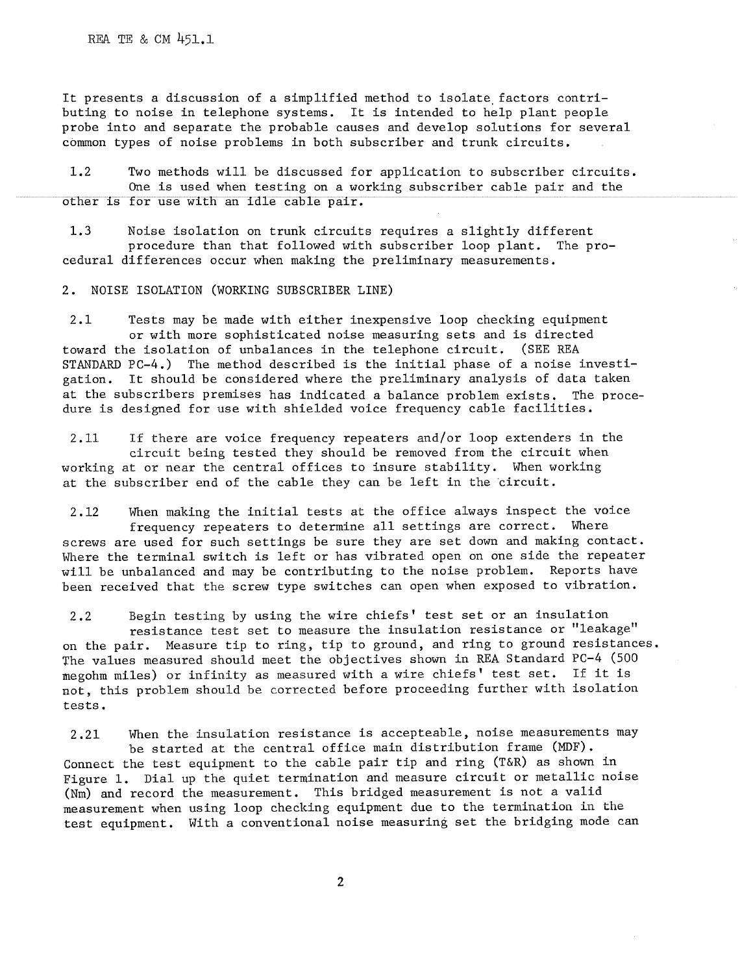It presents a discussion of a simplified method to isolate factors contributing to noise in telephone systems. It is intended to help plant people probe into and separate the probable causes and develop solutions for several common types of noise problems in both subscriber and trunk circuits.

1.2 Two methods will be discussed for application to subscriber circuits. One is used when testing on a working subscriber cable pair and the other is for use with an idle cable pair.

1.3 Noise isolation on trunk circuits requires a slightly different procedure than that followed with subscriber loop plant. The procedural differences occur when making the preliminary measurements.

2. NOISE ISOLATION (WORKING SUBSCRIBER LINE)

2.1 Tests may be made with either inexpensive loop checking equipment or with more sophisticated noise measuring sets and is directed toward the isolation of unbalances in the telephone circuit. (SEE REA STANDARD PC-4.) The method described is the initial phase of a noise investigation. It should be considered where the preliminary analysis of data taken at the subscribers premises has indicated a balance problem exists. The procedure is designed for use with shielded voice frequency cable facilities.

2.11 If there are voice frequency repeaters and/or loop extenders in the circuit being tested they should be removed from the circuit when working at or near the central offices to insure stability. When working at the subscriber end of the cable they can be left in the circuit.

2.12 When making the initial tests at the office always inspect the voice frequency repeaters to determine all settings are correct. Where screws are used for such settings be sure they are set down and making contact. Where the terminal switch is left or has vibrated open on one side the repeater will be unbalanced and may be contributing to the noise problem. Reports have been received that the screw type switches can open when exposed to vibration.

2.2 Begin testing by using the wire chiefs' test set or an insulation resistance test set to measure the insulation resistance or "leakage" on the pair. Measure tip to ring, tip to ground, and ring to ground resistances. The values measured should meet the objectives shown in REA Standard PC-4 (500 megohm miles) or infinity as measured with a wire chiefs' test set. If it is not, this problem should be corrected before proceeding further with isolation tests.

2.21 When the insulation resistance is accepteable, noise measurements may be started at the central office main distribution frame (MDF). Connect the test equipment to the cable pair tip and ring (T&R) as shown in Figure 1. Dial up the quiet termination and measure circuit or metallic noise (Nm) and record the measurement. This bridged measurement is not a valid measurement when using loop checking equipment due to the termination in the test equipment. With a conventional noise measuring set the bridging mode can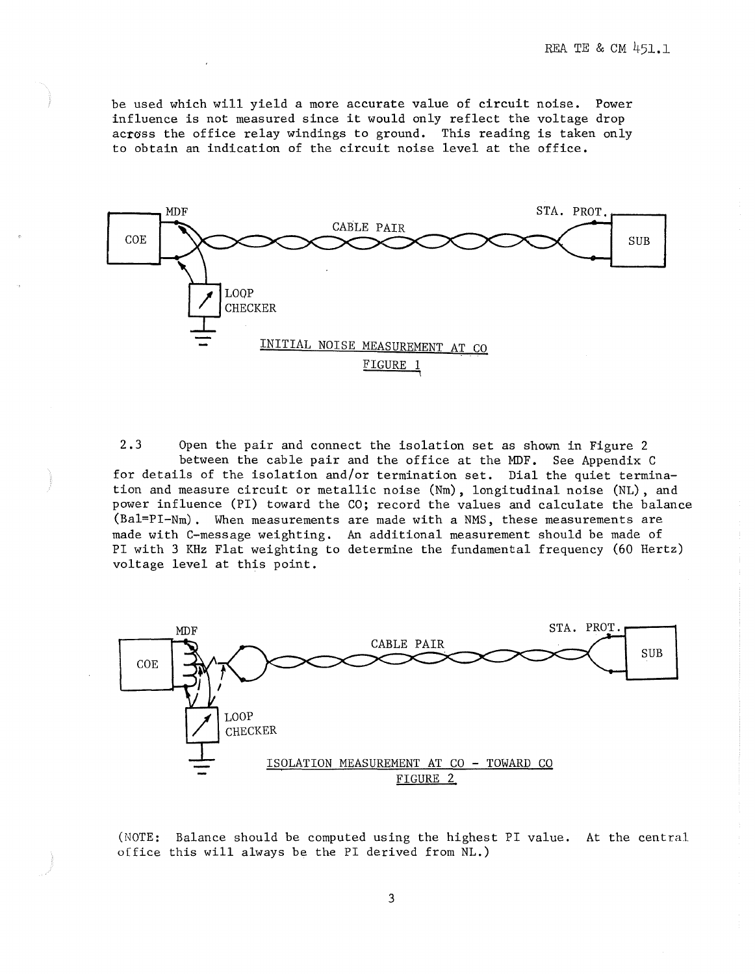be used which will yield a more accurate value of circuit noise. Power influence is not measured since it would only reflect the voltage drop across the office relay windings to ground. This reading is taken only to obtain an indication of the circuit noise level at the office.



2.3 Open the pair and connect the isolation set as shown in Figure 2 between the cable pair and the office at the MDF. See Appendix C for details of the isolation and/or termination set. Dial the quiet termination and measure circuit or metallic noise (Nm), longitudinal noise (NL), and power influence (PI) toward the CO; record the values and calculate the balance (Bal=PI-Nm). When measurements are made with a NMS, these measurements are made with C-message weighting. An additional measurement should be made of PI with 3 KHz Flat weighting to determine the fundamental frequency (60 Hertz) voltage level at this point.





3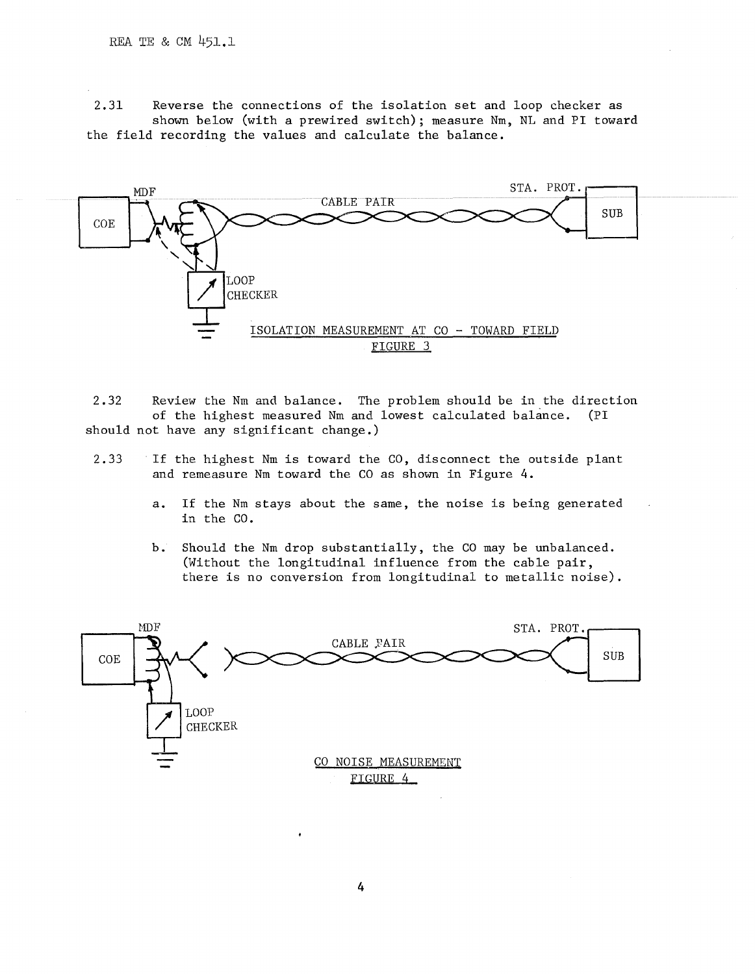2.31 Reverse the connections of the isolation set and loop checker as shown below (with a prewired switch); measure Nm, NL and PI toward the field recording the values and calculate the balance.



2.32 Review the Nm and balance. The problem should be in the direction of the highest measured Nm and lowest calculated balance. (PI should not have any significant change.)

- 2.33 If the highest Nm is toward the CO, disconnect the outside plant and remeasure Nm toward the CO as shown in Figure 4.
	- a. If the Nm stays about the same, the noise is being generated in the CO.
	- b. Should the Nm drop substantially, the CO may be unbalanced. (Without the longitudinal influence from the cable pair, there is no conversion from longitudinal to metallic noise).

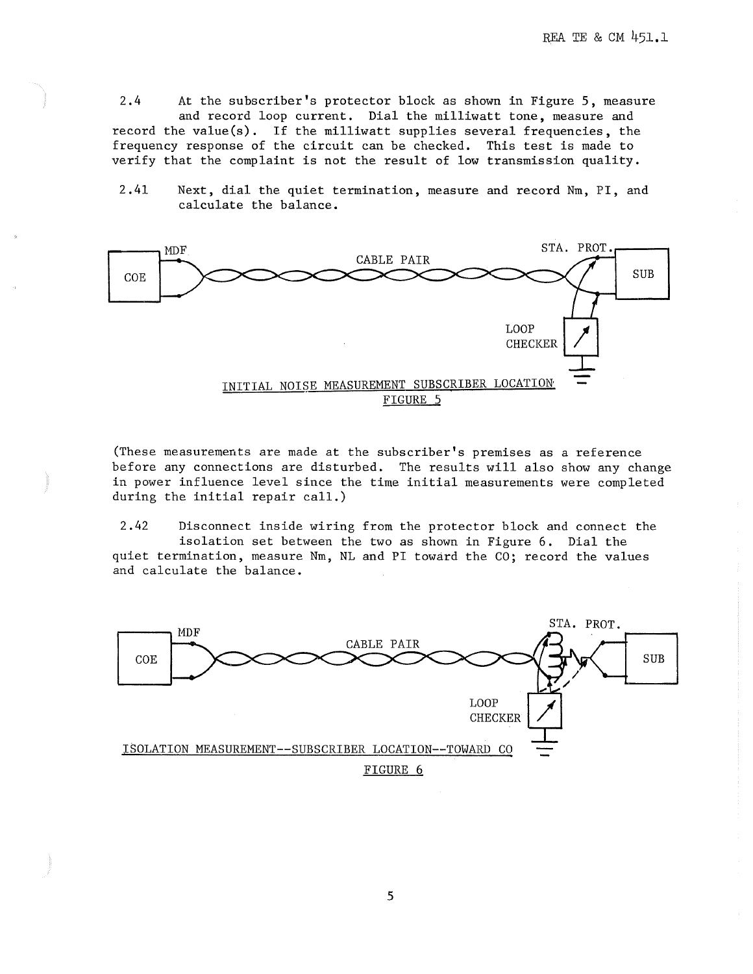2.4 At the subscriber's protector block as shown in Figure 5, measure and record loop current. Dial the milliwatt tone, measure and record the value(s). If the milliwatt supplies several frequencies, the frequency response of the circuit can be checked. This test is made to verify that the complaint is not the result of low transmission quality.





(These measurements are made at the subscriber's premises as a reference before any connections are disturbed. The results will also show any change in power influence level since the time initial measurements were completed during the initial repair call.)

2.42 Disconnect inside wiring from the protector block and connect the isolation set between the two as shown in Figure 6. Dial the quiet termination, measure Nm, NL and PI toward the CO; record the values and calculate the balance.



5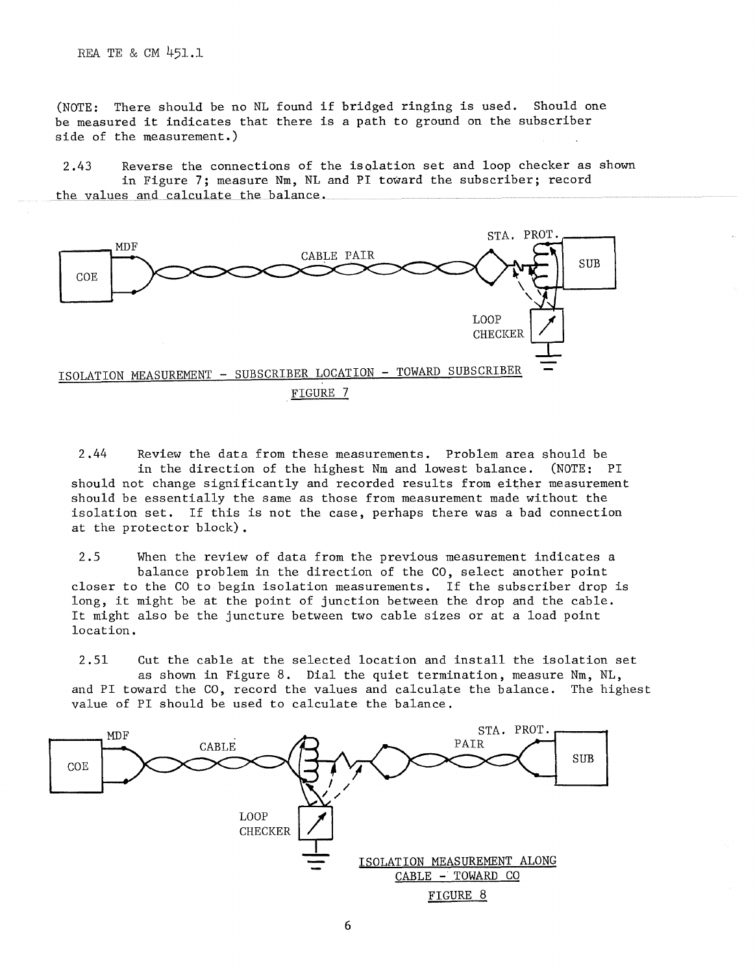REA TE & CM 451.1

(NOTE: There should be no NL found if bridged ringing is used. Should one be measured it indicates that there is a path to ground on the subscriber side of the measurement.)

2.43 Reverse the connections of the isolation set and loop checker as shown in Figure 7; measure Nm, NL and PI toward the subscriber; record the values and calculate the balance.



2.44 Review the data from these measurements. Problem area should be in the direction of the highest Nm and lowest balance. (NOTE: PI should not change significantly and recorded results from either measurement should be essentially the same as those from measurement made without the isolation set. If this is not the case, perhaps there was a bad connection at the protector block).

2.5 When the review of data from the previous measurement indicates a balance problem in the direction of the CO, select another point closer to the CO to begin isolation measurements. If the subscriber drop is long, it might be at the point of junction between the drop and the cable. It might also be the juncture between two cable sizes or at a load point location.

2.51 Cut the cable at the selected location and install the isolation set as shown in Figure 8. Dial the quiet termination, measure Nm, NL, and PI toward the CO, record the values and calculate the balance. The highest value of PI should be used to calculate the balance.

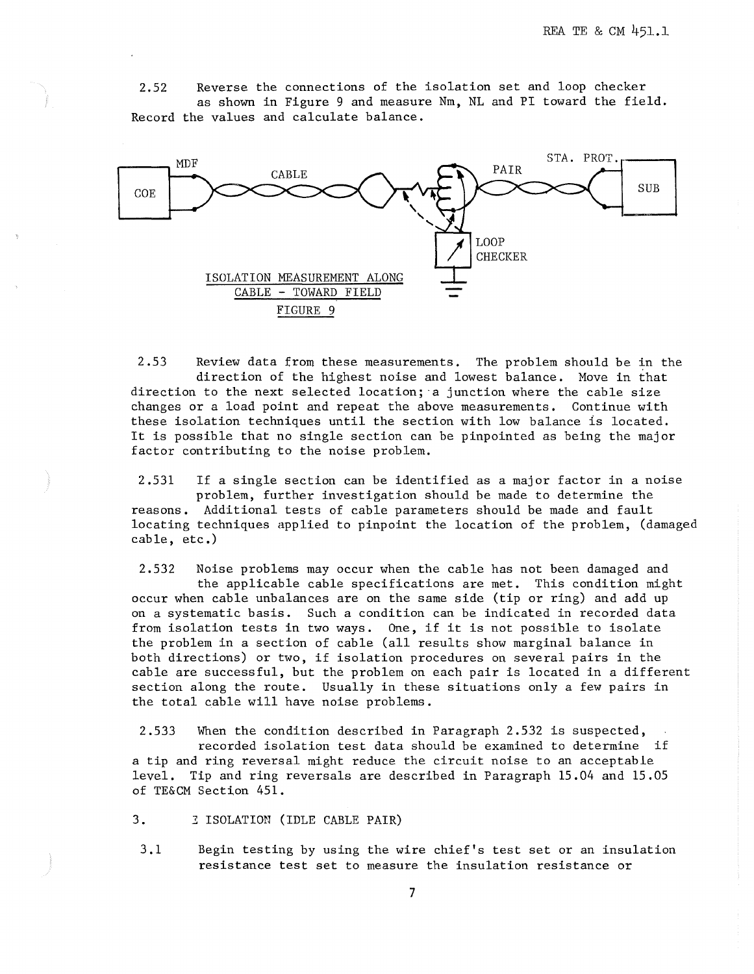2.52 Reverse the connections of the isolation set and loop checker as shown in Figure 9 and measure Nm, NL and PI toward the field. Record the values and calculate balance.



2.53 Review data from these measurements. The problem should be in the direction of the highest noise and lowest balance. Move in that direction to the next selected location; a junction where the cable size changes or a load point and repeat the above measurements. Continue with these isolation techniques until the section with low balance is located. It is possible that no single section can be pinpointed as being the major factor contributing to the noise problem.

2.531 If a single section can be identified as a major factor in a noise problem, further investigation should be made to determine the reasons. Additional tests of cable parameters should be made and fault locating techniques applied to pinpoint the location of the problem, (damaged cable, etc.)

2.532 Noise problems may occur when the cable has not been damaged and the applicable cable specifications are met. This condition might occur when cable unbalances are on the same side (tip or ring) and add up on a systematic basis. Such a condition can be indicated in recorded data from isolation tests in two ways. One, if it is not possible to isolate the problem in a section of cable (all results show marginal balance in both directions) or two, if isolation procedures on several pairs in the cable are successful, but the problem on each pair is located in a different section along the route. Usually in these situations only a few pairs in the total cable will have noise problems.

2.533 When the condition described in Paragraph 2.532 is suspected, recorded isolation test data should be examined to determine if a tip and ring reversal might reduce the circuit noise to an acceptable level. Tip and ring reversals are described in Paragraph 15.04 and 15.05 of TE&CM Section 451.

3. J ISOLATION (IDLE CABLE PAIR)

3.1 Begin testing by using the wire chief's test set or an insulation resistance test set to measure the insulation resistance or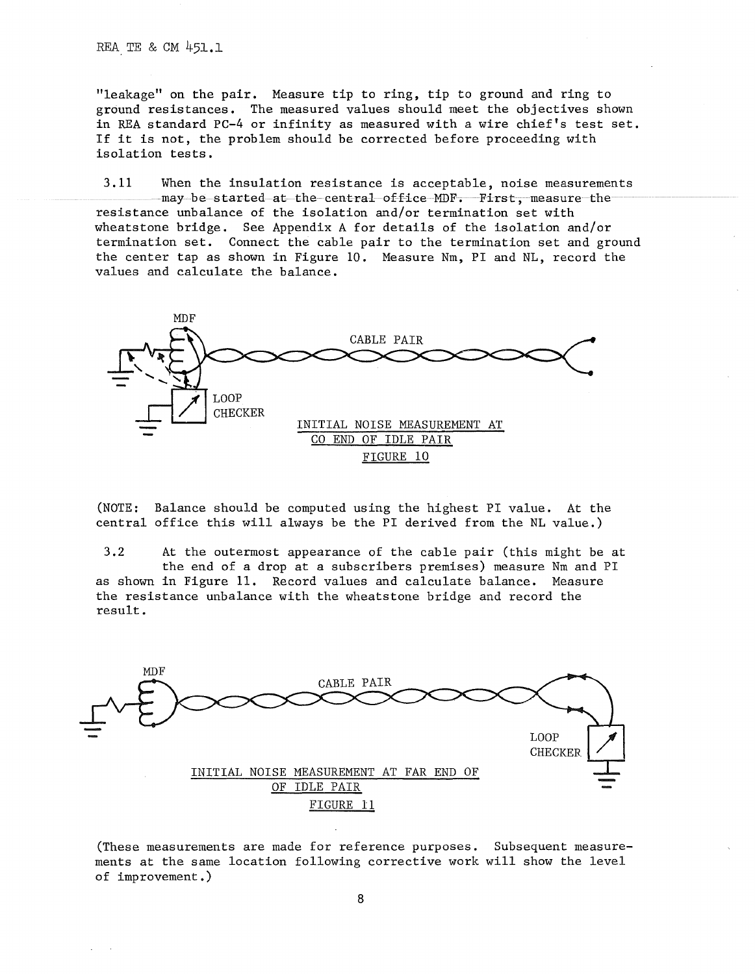REA. TE & CM 45l,l

"leakage" on the pair. Measure tip to ring, tip to ground and ring to ground resistances, The measured values should meet the objectives shown in REA standard PC-4 or infinity as measured with a wire chief's test set, If it is not, the problem should be corrected before proceeding with isolation tests.

3.11 When the insulation resistance is acceptable, noise measurements may be started at the central office MDF. First, measure the resistance unbalance of the isolation and/or termination set with wheatstone bridge. See Appendix A for details of the isolation and/or termination set. Connect the cable pair to the termination set and ground the center tap as shown in Figure 10. Measure Nm, PI and NL, record the values and calculate the balance.



(NOTE: Balance should be computed using the highest PI value. At the central office this will always be the PI derived from the NL value.)

3.2 At the outermost appearance of the cable pair (this might be at the end of a drop at a subscribers premises) measure Nm and PI as shown in Figure 11. Record values and calculate balance. Measure the resistance unbalance with the wheatstone bridge and record the result.



(These measurements are made for reference purposes. Subsequent measure ments at the same location following corrective work will show the leve of improvement.)

8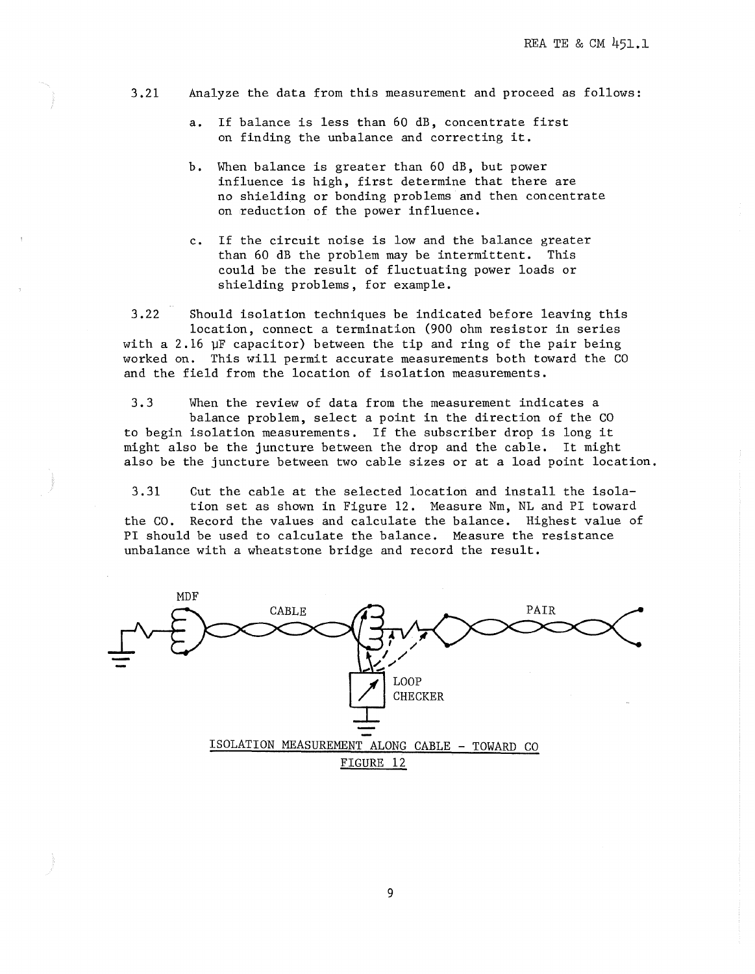### 3.21 Analyze the data from this measurement and proceed as follows:

- a. If balance is less than 60 dB, concentrate first on finding the unbalance and correcting it.
- b. When balance is greater than 60 dB, but power influence is high, first determine that there are no shielding or bonding problems and then concentrate on reduction of the power influence.
- c. If the circuit noise is low and the balance greater than 60 dB the problem may be intermittent. This could be the result of fluctuating power loads or shielding problems, for example.

3.22 Should isolation techniques be indicated before leaving this location, connect a termination (900 ohm resistor in series with a 2.16  $\mu$ F capacitor) between the tip and ring of the pair being worked on. This will permit accurate measurements both toward the CO and the field from the location of isolation measurements.

3.3 When the review of data from the measurement indicates a balance problem, select a point in the direction of the CO to begin isolation measurements. If the subscriber drop is long it might also be the juncture between the drop and the cable. It might also be the juncture between two cable sizes or at a load point location.

3.31 Cut the cable at the selected location and install the isolation set as shown in Figure 12. Measure Nm, NL and PI toward the CO. Record the values and calculate the balance. Highest value of PI should be used to calculate the balance. Measure the resistance unbalance with a wheatstone bridge and record the result.

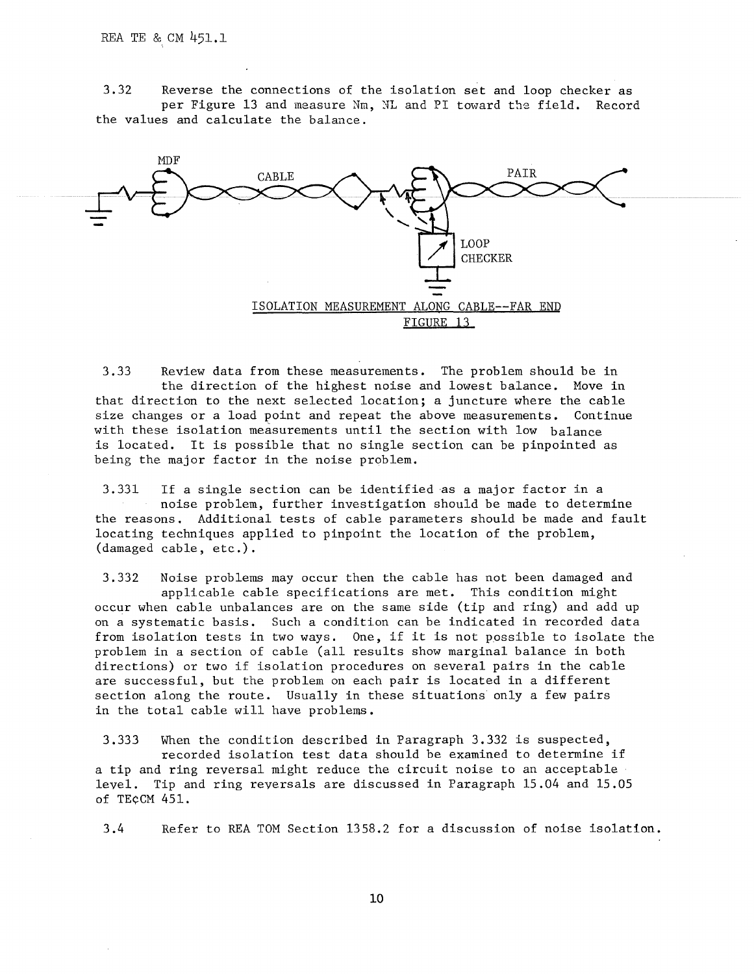3.32 Reverse the connections of the isolation set and loop checker as per Figure 13 and measure Nm, NL and PI toward the field. Record the values and calculate the balance.



3.33 Review data from these measurements. The problem should be in the direction of the highest noise and lowest balance. Move in that direction to the next selected location; a juncture where the cable size changes or a load point and repeat the above measurements. Continue with these isolation measurements until the section with low balance is located. It is possible that no single section can be pinpointed as being the major factor in the noise problem.

3.331 If a single section can be identified as a major factor in a noise problem, further investigation should be made to determine the reasons. Additional tests of cable parameters should be made and fault locating techniques applied to pinpoint the location of the problem, (damaged cable, etc.).

3.332 Noise problems may occur then the cable has not been damaged and applicable cable specifications are met, This condition might occur when cable unbalances are on the same side (tip and ring) and add up on a systematic basis. Such a condition can be indicated in recorded data from isolation tests in two ways. One, if it is not possible to isolate the problem in a section of cable (all results show marginal balance in both directions) or two if isolation procedures on several pairs in the cable are successful, but the problem on each pair is located in a different section along the route. Usually in these situations only a few pairs in the total cable will have problems.

3.333 When the condition described in Paragraph 3.332 is suspected, recorded isolation test data should be examined to determine if a tip and ring reversal might reduce the circuit noise to an acceptable level. Tip and ring reversals are discussed in Paragraph 15.04 and 15.05 of TE¢CM 451.

3.4 Refer to REA TOM Section 1358.2 for a discussion of noise isolation.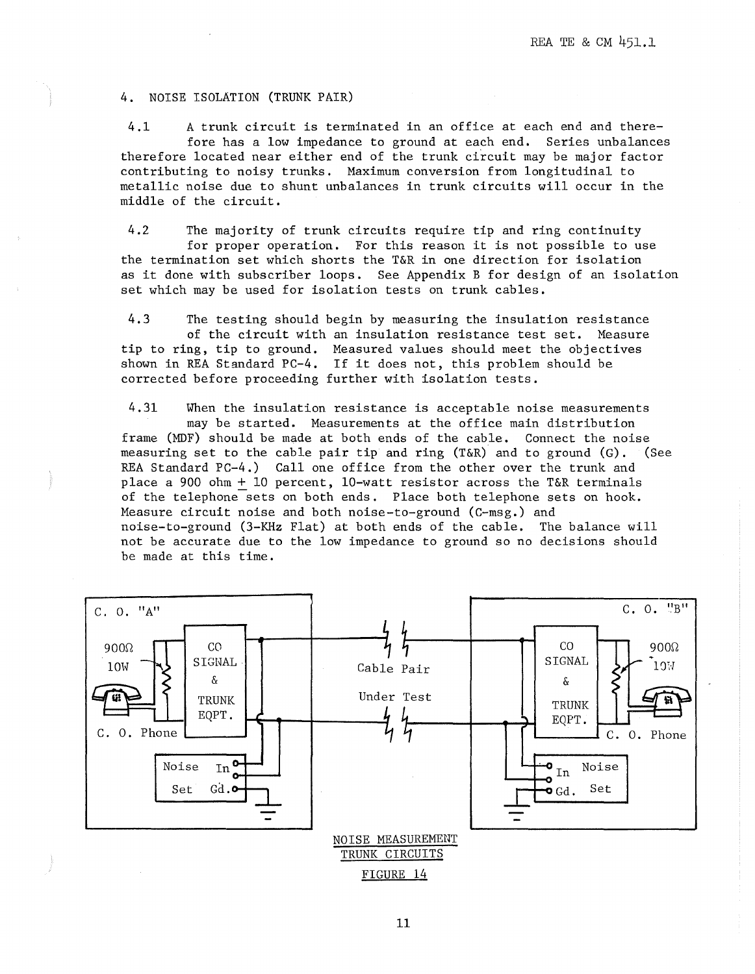# 4. NOISE ISOLATION (TRUNK PAIR)

4.1 A trunk circuit is terminated in an office at each end and therefore has a low impedance to ground at each end. Series unbalances therefore located near either end of the trunk circuit may be major factor contributing to noisy trunks. Maximum conversion from longitudinal to metallic noise due to shunt unbalances in trunk circuits will occur in the middle of the circuit.

4.2 The majority of trunk circuits require tip and ring continuity for proper operation. For this reason it is not possible to use the termination set which shorts the T&R in one direction for isolation as it done with subscriber loops. See Appendix B for design of an isolation set which may be used for isolation tests on trunk cables.

4.3 The testing should begin by measuring the insulation resistance of the circuit with an insulation resistance test set. Measure tip to ring, tip to ground. Measured values should meet the objectives shown in REA Standard PC-4. If it does not, this problem should be corrected before proceeding further with isolation tests.

4,31 When the insulation resistance is acceptable noise measurements may be started. Measurements at the office main distribution frame (MDF) should be made at both ends of the cable. Connect the noise measuring set to the cable pair tip and ring (T&R) and to ground (G). (See REA Standard PC-4.) Call one office from the other over the trunk and place a 900 ohm + 10 percent, 10-watt resistor across the T&R terminals of the telephone sets on both ends. Place both telephone sets on hook. Measure circuit noise and both noise-to-ground (C-msg.) and noise-to-ground (3-KHz Flat) at both ends of the cable. The balance will not be accurate due to the low impedance to ground so no decisions should be made at this time.

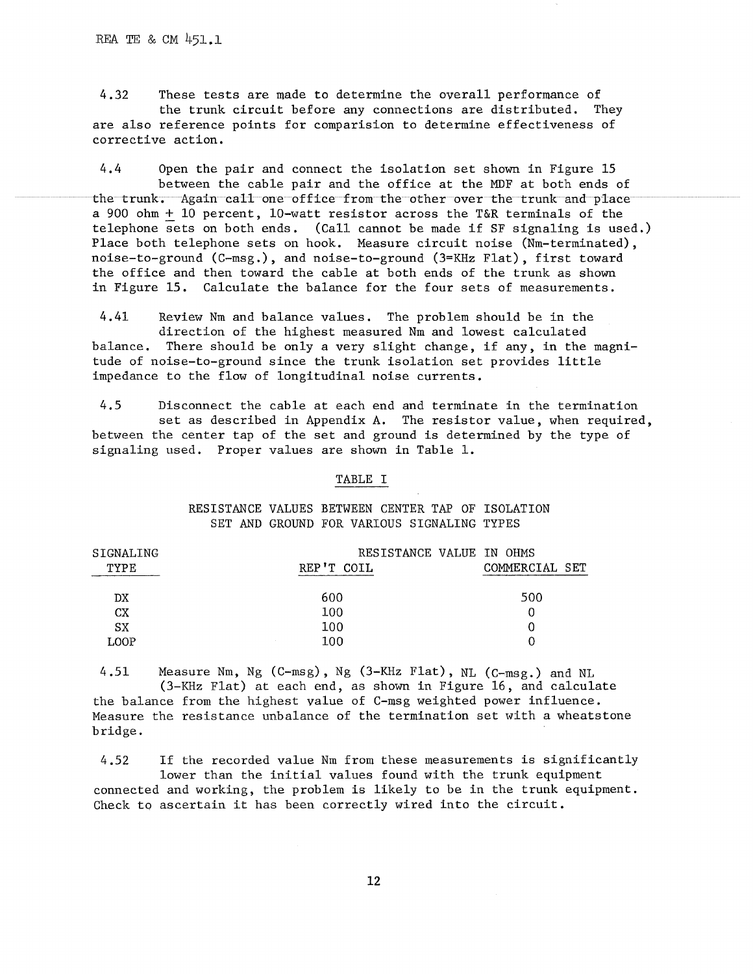4.32 These tests are made to determine the overall performance of the trunk circuit before any connections are distributed. They are also reference points for comparision to determine effectiveness of corrective action.

4.4 Open the pair and connect the isolation set shown in Figure 15 between the cable pair and the office at the MDF at both ends of the trunk. Again call one office from the other over the trunk and place a 900 ohm+ 10 percent, 10-watt resistor across the T&R terminals of the telephone sets on both ends, (Call cannot be made if SF signaling is used.) Place both telephone sets on hook. Measure circuit noise (Nm-terminated), noise-to-ground (C-msg.), and noise-to-ground (3=KHz Flat), first toward the office and then toward the cable at both ends of the trunk as shown in Figure 15. Calculate the balance for the four sets of measurements.

4.41 Review Nm and balance values. The problem should be in the direction of the highest measured Nm and lowest calculated balance. There should be only a very slight change, if any, in the magnitude of noise-to-ground since the trunk isolation set provides little impedance to the flow of longitudinal noise currents,

4.5 Disconnect the cable at each end and terminate in the termination set as described in Appendix A. The resistor value, when required, between the center tap of the set and ground is determined by the type of signaling used. Proper values are shown in Table 1.

## TABLE I

# RESISTANCE VALUES BETWEEN CENTER TAP OF ISOLATION SET AND GROUND FOR VARIOUS SIGNALING TYPES

| SIGNALING | RESISTANCE VALUE IN OHMS |                |
|-----------|--------------------------|----------------|
| TYPE      | REP'T COIL               | COMMERCIAL SET |
|           |                          |                |
| DХ        | 600                      | 500            |
| CХ        | 100                      | $\Omega$       |
| <b>SX</b> | 100                      |                |
| LOOP      | 100                      |                |

4.51 Measure Nm, Ng (C-msg), Ng (3-KHz Flat), NL (C-msg.) and NL (3-KHz Flat) at each end, as shown in Figure 16, and calculate the balance from the highest value of C-msg weighted power influence. Measure the resistance unbalance of the termination set with a wheatstone bridge.

4.52 If the recorded value Nm from these measurements is significantly lower than the initial values found with the trunk equipment connected and working, the problem is likely to be in the trunk equipment. Check to ascertain it has been correctly wired into the circuit.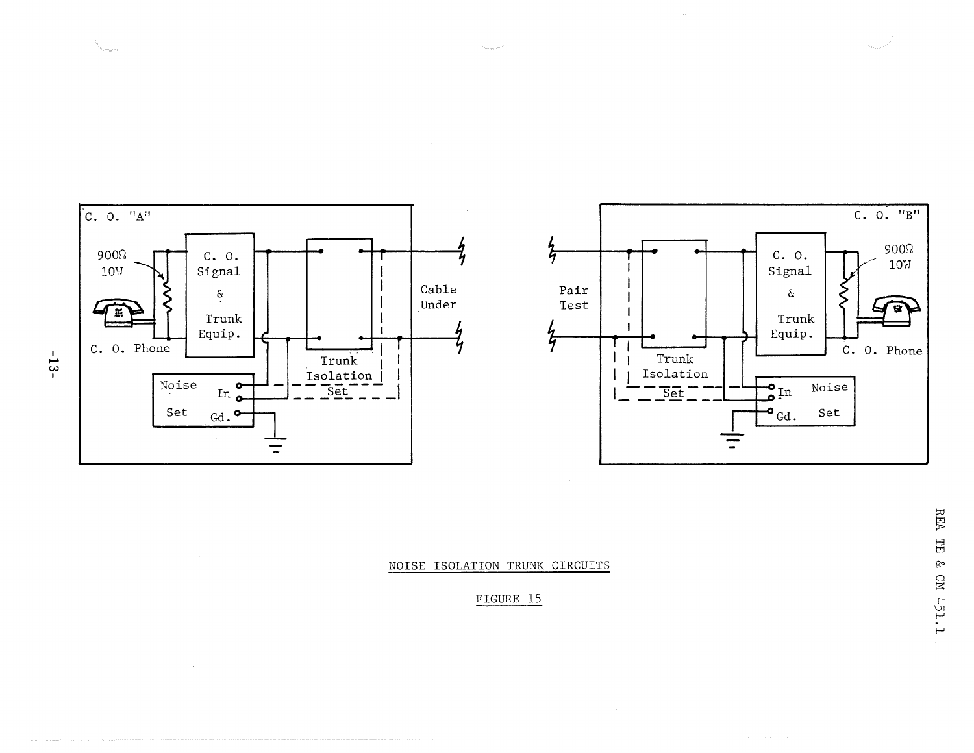

 $\bar{a}$ 

 $\Delta$ 

# **NOISE ISOLATION TRUNK CIRCUITS**

FIGURE 15

 $-13-$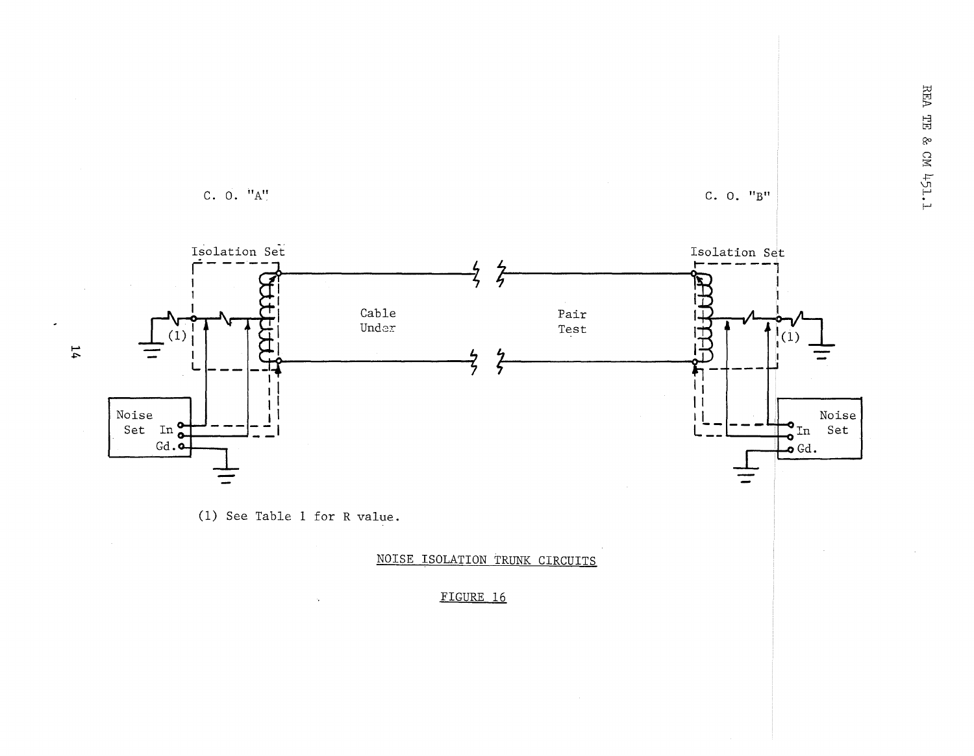

 $14$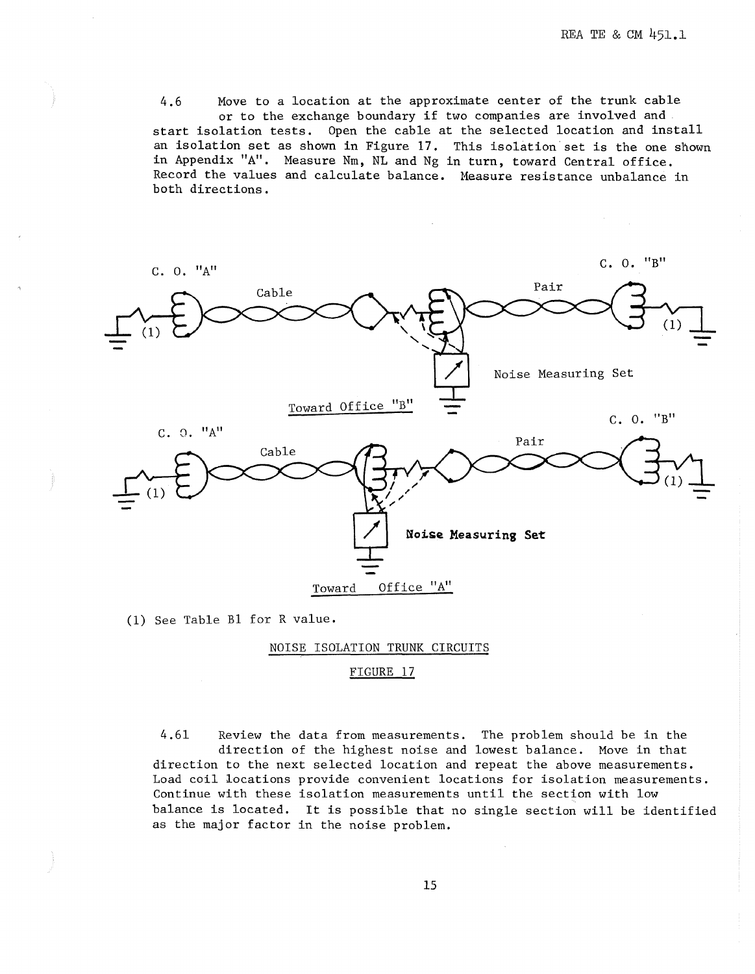4.6 Move to a location at the approximate center of the trunk cable or to the exchange boundary if two companies are involved and start isolation tests. Open the cable at the selected location and install an isolation set as shown in Figure 17. This isolation set is the one shown in Appendix "A". Measure Nm, NL and Ng in turn, toward Central office. Record the values and calculate balance. Measure resistance unbalance in both directions.



(1) See Table Bl for R value,

# NOISE ISOLATION TRUNK CIRCUITS

#### FIGURE 17

4.61 Review the data from measurements. The problem should be in the direction of the highest noise and lowest balance. Move in that direction to the next selected location and repeat the above measurements. Load coil locations provide convenient locations for isolation measurements. Continue with these isolation measurements until the section with low balance is located. It is possible that no single section will be identified as the major factor in the noise problem.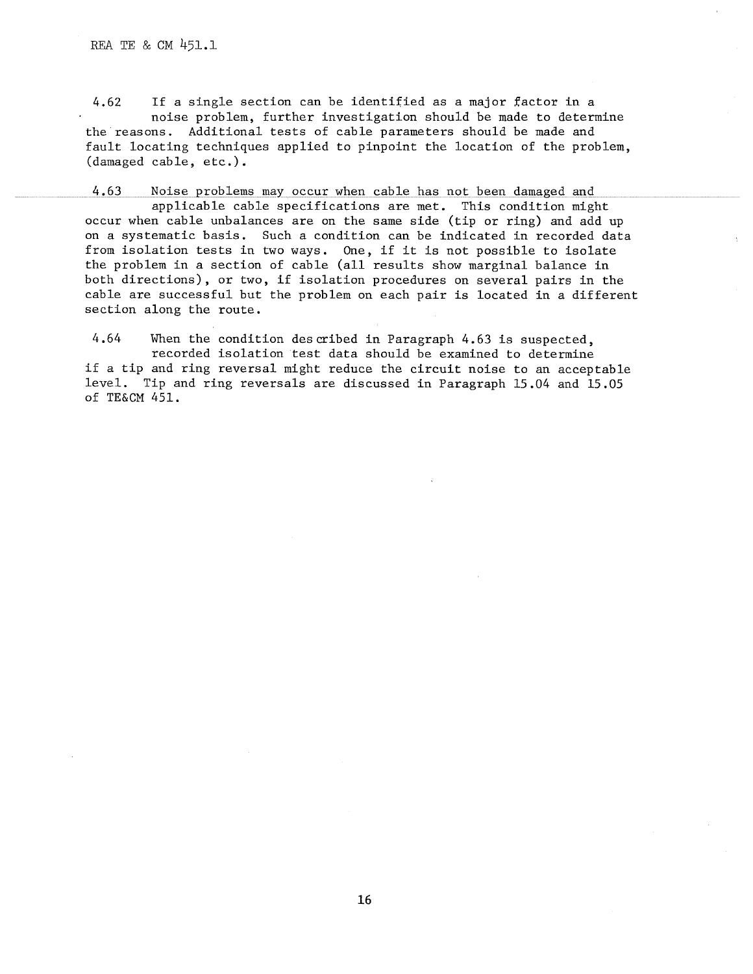4.62 If a single section can be identified as a major factor in a noise problem, further investigation should be made to determine the reasons. Additional tests of cable parameters should be made and fault locating techniques applied to pinpoint the location of the problem, (damaged cable, etc,).

4.63 Noise problems may occur when cable has not been damaged and applicable cable specifications are met. This condition might occur when cable unbalances are on the same side (tip or ring) and add up on a systematic basis. Such a condition can be indicated in recorded data from isolation tests in two ways. One, if it is not possible to isolate the problem in a section of cable (all results show marginal balance in both directions), or two, if isolation procedures on several pairs in the cable are successful but the problem on each pair is located in a different section along the route.

4.64 When the condition described in Paragraph 4.63 is suspected, recorded isolation test data should be examined to determine if a tip and ring reversal might reduce the circuit noise to an acceptable level. Tip and ring reversals are discussed in Paragraph 15.04 and 15.05 of TE&CM 451.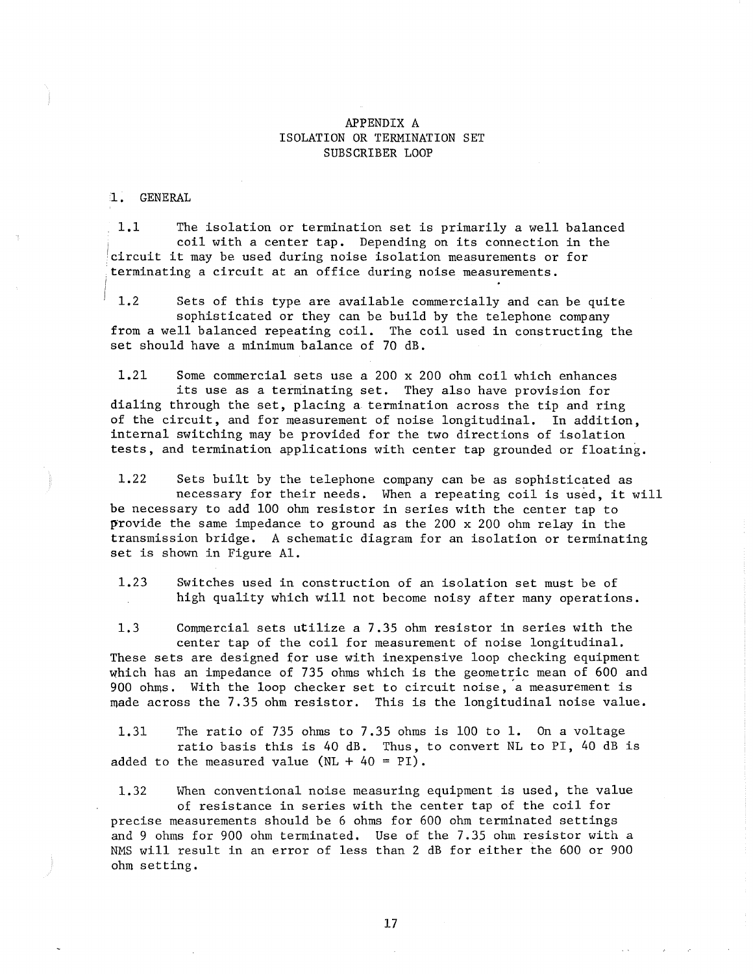# APPENDIX A ISOLATION OR TERMINATION SET SUBSCRIBER LOOP

# 1. GENERAL

I

 $1.1$  The isolation or termination set is primarily a well balance eoil with a center tap. Depending on its connection in the circuit it may be used during noise isolation measurements or for terminating a circuit at an office during noise measurements.

1.2 Sets of this type are available commercially and can be quite sophisticated or they can be build by the telephone company from a well balanced repeating coil. The coil used in constructing the set should have a minimum balance of 70 dB.

1.21 Some commercial sets use a 200 x 200 ohm coil which enhances its use as a terminating set. They also have provision for dialing through the set, placing a termination across the tip and ring of the circuit, and for measurement of noise longitudinal. In addition, internal switching may be provided for the two directions of isolation tests, and termination applications with center tap grounded or floating.

1.22 Sets built by the telephone company can be as sophisticated as necessary for their needs. When a repeating coil is used, it will be necessary to add 100 ohm resistor in series with the center tap to provide the same impedance to ground as the 200 x 200 ohm relay in the transmission bridge. A schematic diagram for an isolation or terminating set is shown in Figure Al.

1.23 Switches used in construction of an isolation set must be of high quality which will not become noisy after many operations.

1.3 Commercial sets utilize a 7.35 ohm resistor in series with the center tap of the coil for measurement of noise longitudinal. These sets are designed for use with inexpensive loop checking equipment which has an impedance of 735 ohms which is the geometric mean of 600 and 900 ohms, With the loop checker set to circuit noise, 'a measurement is made across the 7.35 ohm resistor. This is the longitudinal noise value.

1.31 The ratio of 735 ohms to 7.35 ohms is 100 to 1. On a voltage ratio basis this is 40 dB. Thus, to convert NL to PI, 40 dB is added to the measured value  $(NL + 40 = PI)$ .

1.32 When conventional noise measuring equipment is used, the value of resistance in series with the center tap of the coil for precise measurements should be 6 ohms for 600 ohm terminated settings and 9 ohms for 900 ohm terminated. Use of the 7.35 ohm resistor with a NMS will result in an error of less than 2 dB for either the 600 or 900 ohm setting.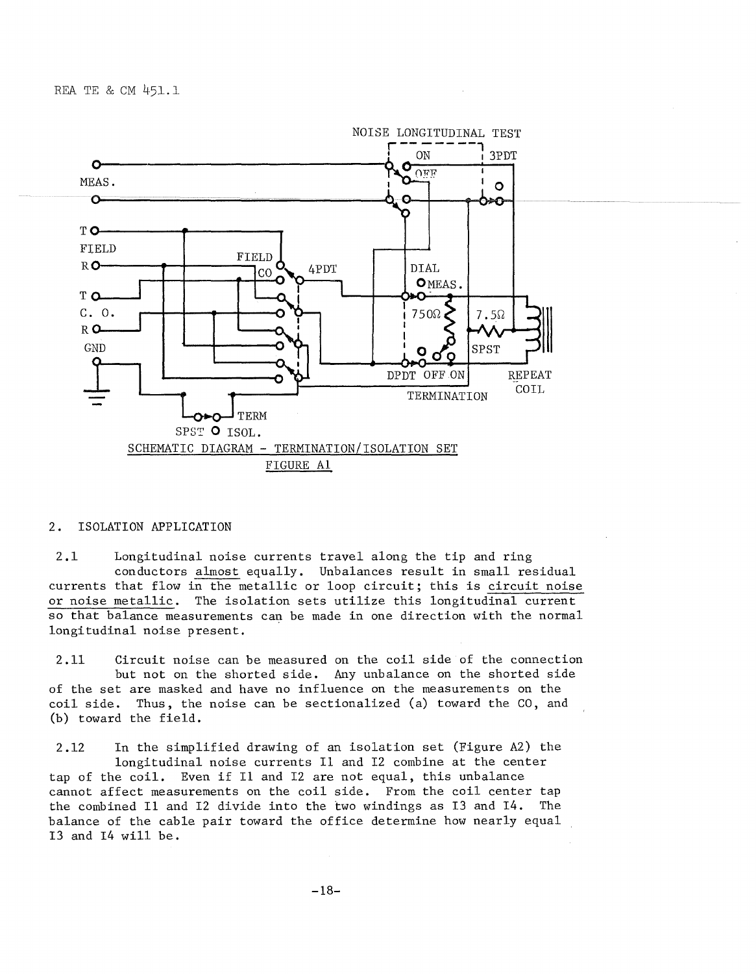

# 2. ISOLATION APPLICATION

2.1 Longitudinal noise currents travel along the tip and ring conductors almost equally. Unbalances result in small residual currents that flow in the metallic or loop circuit; this is circuit noise or noise metallic. The isolation sets utilize this longitudinal current so that balance measurements can be made in one direction with the normal longitudinal noise present.

2.11 Circuit noise can be measured on the coil side of the connection but not on the shorted side. Any unbalance on the shorted side of the set are masked and have no influence on the measurements on the coil side. Thus, the noise can be sectionalized (a) toward the CO, and (b) toward the field.

2.12 In the simplified drawing of an isolation set (Figure A2) the longitudinal noise currents Il and 12 combine at the center tap of the coil. Even if Il and 12 are not equal, this unbalance cannot affect measurements on the coil side. From the coil center tap the combined Il and 12 divide into the two windings as 13 and 14. The balance of the cable pair toward the office determine how nearly equal 13 and 14 will be.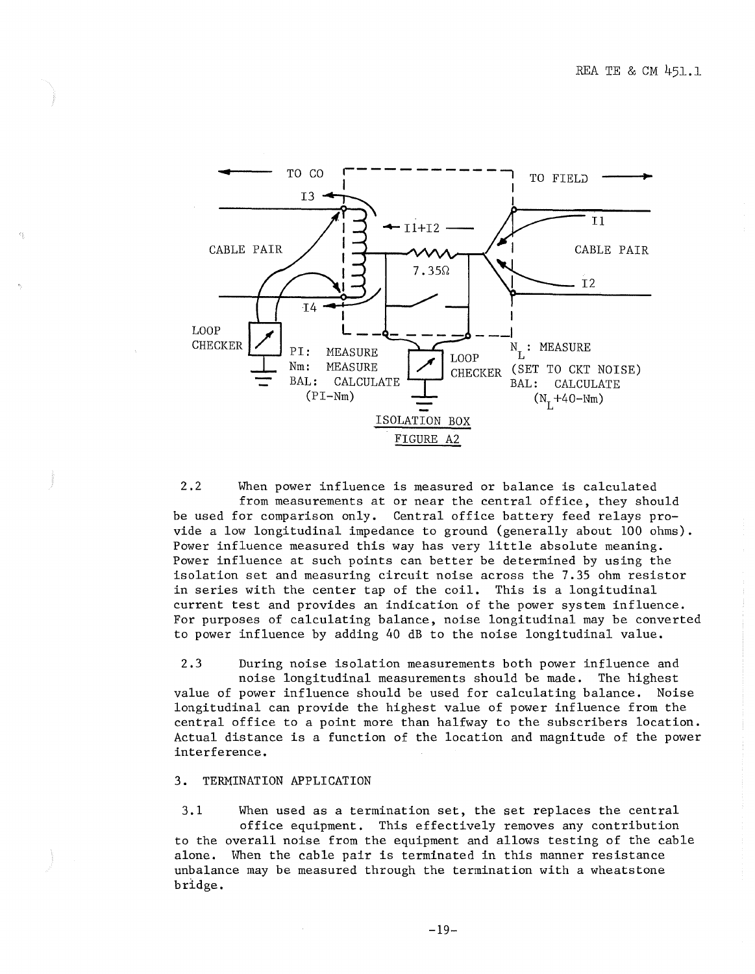

2.2 When power influence is measured or balance is calculated from measurements at or near the central office, they should be used for comparison only. Central office battery feed relays provide a low longitudinal impedance to ground (generally about 100 ohms). Power influence measured this way has very little absolute meaning. Power influence at such points can better be determined by using the isolation set and measuring circuit noise across the 7.35 ohm resistor in series with the center tap of the coil. This is a longitudinal current test and provides an indication of the power system influence. For purposes of calculating balance, noise longitudinal may be converted to power influence by adding 40 dB to the noise longitudinal value.

2.3 During noise isolation measurements both power influence and noise longitudinal measurements should be made. The highest value of power influence should be used for calculating balance. Noise longitudinal can provide the highest value of power influence from the central office to a point more than halfway to the subscribers location. Actual distance is a function of the location and magnitude of the power interference.

## 3. TERMINATION APPLICATION

3.1 When used as a termination set, the set replaces the central office equipment. This effectively removes any contribution to the overall noise from the equipment and allows testing of the cable alone. When the cable pair is terminated in this manner resistance unbalance may be measured through the termination with a wheatstone bridge.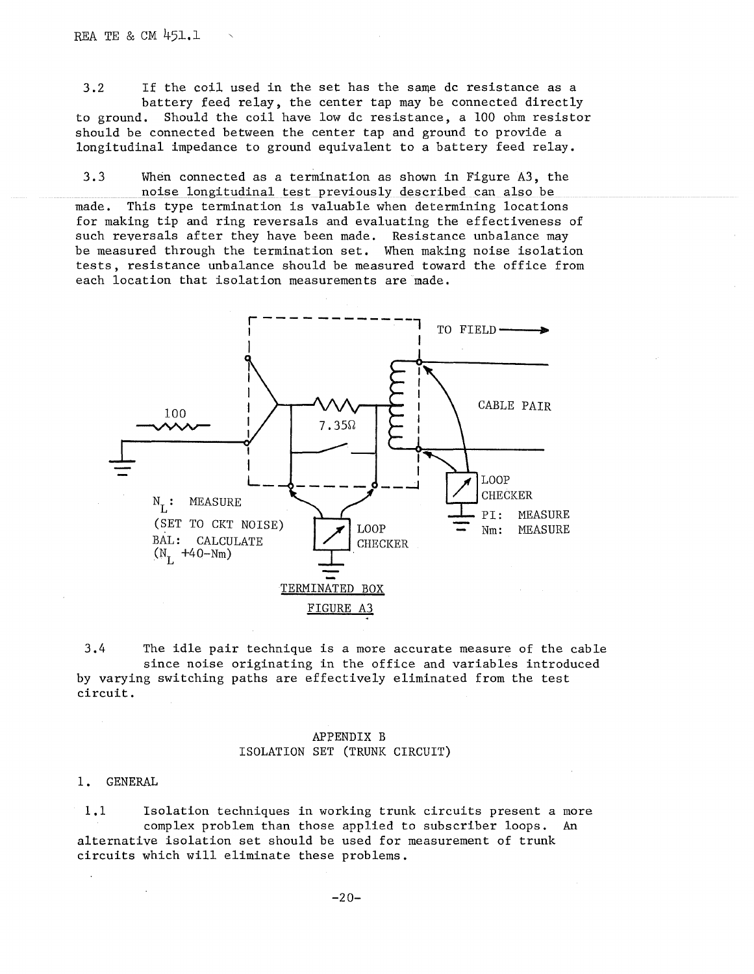3.2 If the coil used in the set has the same de resistance as a battery feed relay, the center tap may be connected directly to ground. Should the coil have low de resistance, a 100 ohm resistor should be connected between the center tap and ground to provide a longitudinal impedance to ground equivalent to a battery feed relay.

3.3 When connected as a termination as shown in Figure A3, the noise longitudinal test previously described can also be made. This type termination is valuable when determining locations for making tip and ring reversals and evaluating the effectiveness of such reversals after they have been made. Resistance unbalance may be measured through the termination set. When making noise isolation tests, resistance unbalance should be measured toward the office from each location that isolation measurements are made.



3.4 The idle pair technique is a more accurate measure of the cable since noise originating in the office and variables introduced by varying switching paths are effectively eliminated from the test circuit.

### APPENDIX B ISOLATION SET (TRUNK CIRCUIT)

### 1. GENERAL

1.1 Isolation techniques in working trunk circuits present a more complex problem than those applied to subscriber loops. An alternative isolation set should be used for measurement of trunk circuits which will eliminate these problems.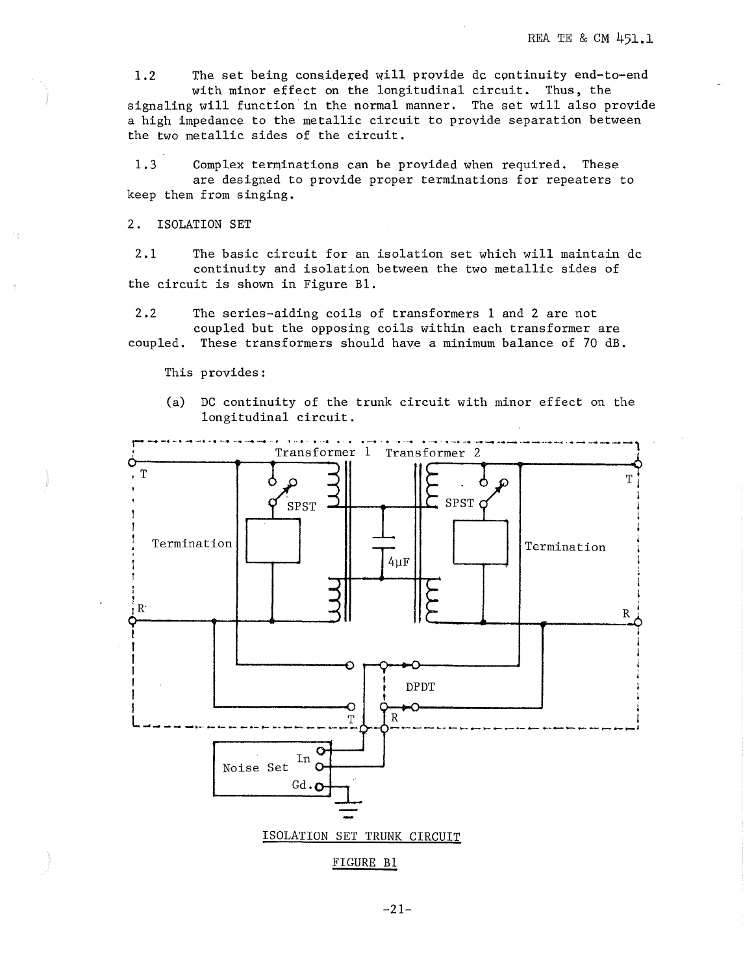1.2 The set being considered will provide de continuity end-to-end with minor effect on the longitudinal circuit. Thus, the signaling will function in the normal manner. The set will also provide a high impedance to the metallic circuit to provide separation between the two metallic sides of the circuit.

1.3 Complex terminations can be provided when required. These are designed to provide proper terminations for repeaters to keep them from singing.

2. ISOLATION SET

2.1 The basic circuit for an isolation set which will maintain de continuity and isolation between the two metallic sides of the circuit is shown in Figure Bl.

2.2 The series-aiding coils of transformers 1 and 2 are not coupled but the opposing coils within each transformer are coupled. These transformers should have a minimum balance of 70 dB.

This provides:

(a) DC continuity of the trunk circuit with minor effect on the longitudinal circuit.



FIGURE Bl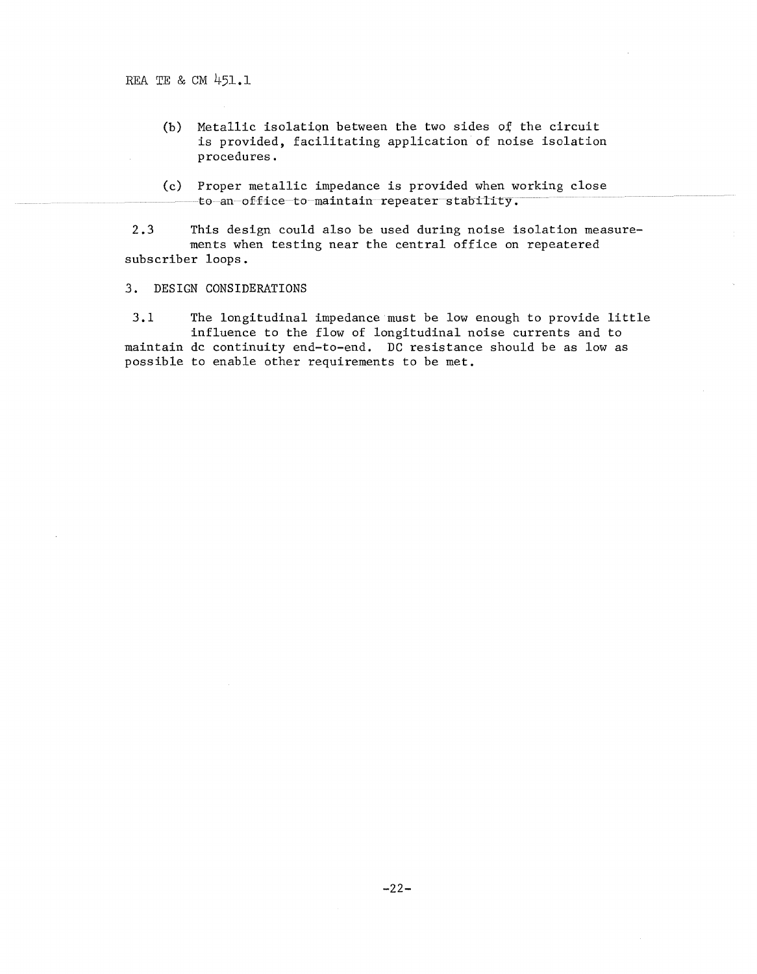- (b) Metallic isolation between the two sides *ot* the circuit is provided, facilitating application of noise isolation procedures.
- (c) Proper metallic impedance is provided when working close to an office to maintain repeater stability.

2.3 This design could also be used during noise isolation measurements when testing near the central office on repeatered subscriber loops.

3. DESIGN CONSIDERATIONS

3.1 The longitudinal impedance must be low enough to provide little influence to the flow of longitudinal noise currents and to maintain de continuity end-to-end. DC resistance should be as low as possible to enable other requirements to be met.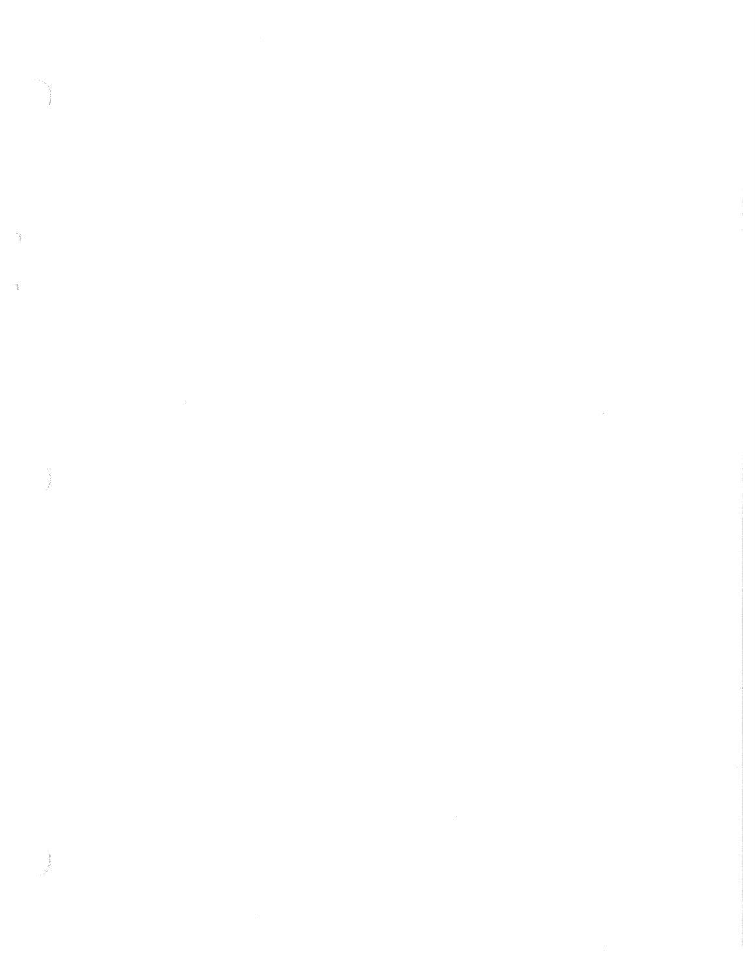$\frac{1}{\pi}$  $\mathbb{T}$  $\label{eq:2.1} \frac{1}{\sqrt{2}}\left(\frac{1}{\sqrt{2}}\right)^{2} \left(\frac{1}{\sqrt{2}}\right)^{2} \left(\frac{1}{\sqrt{2}}\right)^{2} \left(\frac{1}{\sqrt{2}}\right)^{2} \left(\frac{1}{\sqrt{2}}\right)^{2} \left(\frac{1}{\sqrt{2}}\right)^{2} \left(\frac{1}{\sqrt{2}}\right)^{2} \left(\frac{1}{\sqrt{2}}\right)^{2} \left(\frac{1}{\sqrt{2}}\right)^{2} \left(\frac{1}{\sqrt{2}}\right)^{2} \left(\frac{1}{\sqrt{2}}\right)^{2} \left(\$  $\mathcal{L}(\mathcal{A})$  .  $\mathcal{L}(\mathcal{A})$  and  $\mathcal{L}(\mathcal{A})$  $\mathcal{L}_{\mathcal{A}}$